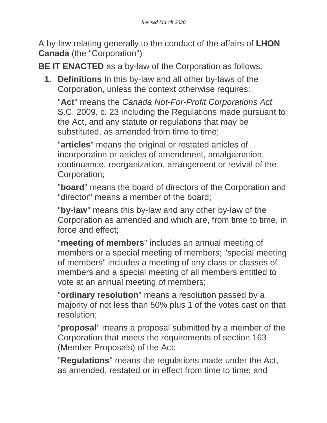A by-law relating generally to the conduct of the affairs of **LHON Canada** (the "Corporation")

**BE IT ENACTED** as a by-law of the Corporation as follows:

**1. Definitions** In this by-law and all other by-laws of the Corporation, unless the context otherwise requires:

"**Act**" means the *Canada Not-For-Profit Corporations Act* S.C. 2009, c. 23 including the Regulations made pursuant to the Act, and any statute or regulations that may be substituted, as amended from time to time;

"**articles**" means the original or restated articles of incorporation or articles of amendment, amalgamation, continuance, reorganization, arrangement or revival of the Corporation;

"**board**" means the board of directors of the Corporation and "director" means a member of the board;

"**by-law**" means this by-law and any other by-law of the Corporation as amended and which are, from time to time, in force and effect;

"**meeting of members**" includes an annual meeting of members or a special meeting of members; "special meeting of members" includes a meeting of any class or classes of members and a special meeting of all members entitled to vote at an annual meeting of members;

"**ordinary resolution**" means a resolution passed by a majority of not less than 50% plus 1 of the votes cast on that resolution;

"**proposal**" means a proposal submitted by a member of the Corporation that meets the requirements of section 163 (Member Proposals) of the Act;

"**Regulations**" means the regulations made under the Act, as amended, restated or in effect from time to time; and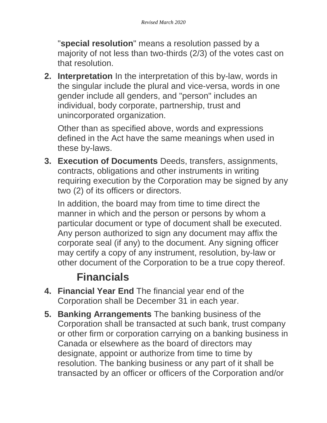"**special resolution**" means a resolution passed by a majority of not less than two-thirds (2/3) of the votes cast on that resolution.

**2. Interpretation** In the interpretation of this by-law, words in the singular include the plural and vice-versa, words in one gender include all genders, and "person" includes an individual, body corporate, partnership, trust and unincorporated organization.

Other than as specified above, words and expressions defined in the Act have the same meanings when used in these by-laws.

**3. Execution of Documents** Deeds, transfers, assignments, contracts, obligations and other instruments in writing requiring execution by the Corporation may be signed by any two (2) of its officers or directors.

In addition, the board may from time to time direct the manner in which and the person or persons by whom a particular document or type of document shall be executed. Any person authorized to sign any document may affix the corporate seal (if any) to the document. Any signing officer may certify a copy of any instrument, resolution, by-law or other document of the Corporation to be a true copy thereof.

#### **Financials**

- **4. Financial Year End** The financial year end of the Corporation shall be December 31 in each year.
- **5. Banking Arrangements** The banking business of the Corporation shall be transacted at such bank, trust company or other firm or corporation carrying on a banking business in Canada or elsewhere as the board of directors may designate, appoint or authorize from time to time by resolution. The banking business or any part of it shall be transacted by an officer or officers of the Corporation and/or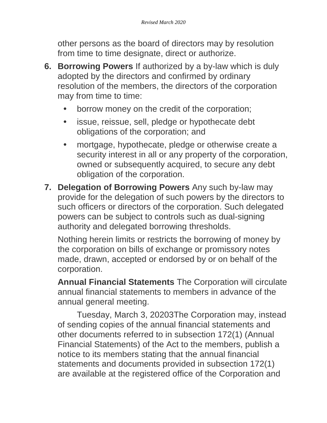other persons as the board of directors may by resolution from time to time designate, direct or authorize.

- **6. Borrowing Powers** If authorized by a by-law which is duly adopted by the directors and confirmed by ordinary resolution of the members, the directors of the corporation may from time to time:
	- **•** borrow money on the credit of the corporation;
	- **•** issue, reissue, sell, pledge or hypothecate debt obligations of the corporation; and
	- **•** mortgage, hypothecate, pledge or otherwise create a security interest in all or any property of the corporation, owned or subsequently acquired, to secure any debt obligation of the corporation.
- **7. Delegation of Borrowing Powers** Any such by-law may provide for the delegation of such powers by the directors to such officers or directors of the corporation. Such delegated powers can be subject to controls such as dual-signing authority and delegated borrowing thresholds.

Nothing herein limits or restricts the borrowing of money by the corporation on bills of exchange or promissory notes made, drawn, accepted or endorsed by or on behalf of the corporation.

**Annual Financial Statements** The Corporation will circulate annual financial statements to members in advance of the annual general meeting.

Tuesday, March 3, 20203The Corporation may, instead of sending copies of the annual financial statements and other documents referred to in subsection 172(1) (Annual Financial Statements) of the Act to the members, publish a notice to its members stating that the annual financial statements and documents provided in subsection 172(1) are available at the registered office of the Corporation and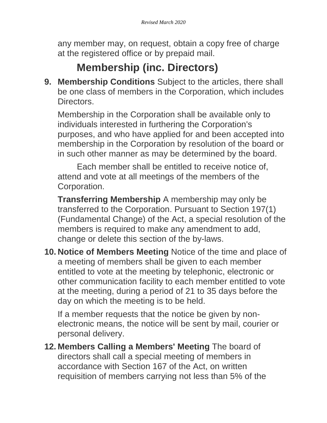any member may, on request, obtain a copy free of charge at the registered office or by prepaid mail.

## **Membership (inc. Directors)**

**9. Membership Conditions** Subject to the articles, there shall be one class of members in the Corporation, which includes Directors.

Membership in the Corporation shall be available only to individuals interested in furthering the Corporation's purposes, and who have applied for and been accepted into membership in the Corporation by resolution of the board or in such other manner as may be determined by the board.

Each member shall be entitled to receive notice of, attend and vote at all meetings of the members of the Corporation.

**Transferring Membership** A membership may only be transferred to the Corporation. Pursuant to Section 197(1) (Fundamental Change) of the Act, a special resolution of the members is required to make any amendment to add, change or delete this section of the by-laws.

**10. Notice of Members Meeting** Notice of the time and place of a meeting of members shall be given to each member entitled to vote at the meeting by telephonic, electronic or other communication facility to each member entitled to vote at the meeting, during a period of 21 to 35 days before the day on which the meeting is to be held.

If a member requests that the notice be given by nonelectronic means, the notice will be sent by mail, courier or personal delivery.

**12. Members Calling a Members' Meeting** The board of directors shall call a special meeting of members in accordance with Section 167 of the Act, on written requisition of members carrying not less than 5% of the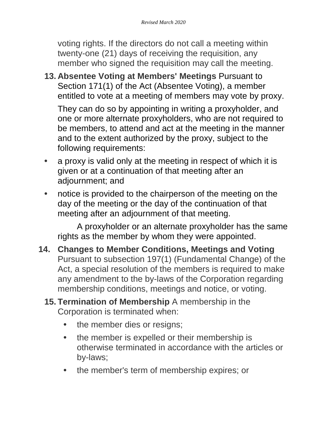voting rights. If the directors do not call a meeting within twenty-one (21) days of receiving the requisition, any member who signed the requisition may call the meeting.

**13. Absentee Voting at Members' Meetings** Pursuant to Section 171(1) of the Act (Absentee Voting), a member entitled to vote at a meeting of members may vote by proxy.

They can do so by appointing in writing a proxyholder, and one or more alternate proxyholders, who are not required to be members, to attend and act at the meeting in the manner and to the extent authorized by the proxy, subject to the following requirements:

- **•** a proxy is valid only at the meeting in respect of which it is given or at a continuation of that meeting after an adjournment; and
- **•** notice is provided to the chairperson of the meeting on the day of the meeting or the day of the continuation of that meeting after an adjournment of that meeting.

A proxyholder or an alternate proxyholder has the same rights as the member by whom they were appointed.

- **14. Changes to Member Conditions, Meetings and Voting** Pursuant to subsection 197(1) (Fundamental Change) of the Act, a special resolution of the members is required to make any amendment to the by-laws of the Corporation regarding membership conditions, meetings and notice, or voting.
	- **15. Termination of Membership** A membership in the Corporation is terminated when:
		- **•** the member dies or resigns;
		- **•** the member is expelled or their membership is otherwise terminated in accordance with the articles or by-laws;
		- **•** the member's term of membership expires; or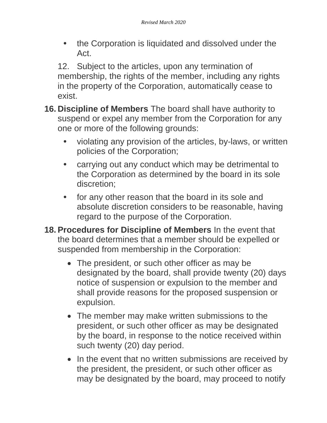**•** the Corporation is liquidated and dissolved under the Act.

12. Subject to the articles, upon any termination of membership, the rights of the member, including any rights in the property of the Corporation, automatically cease to exist.

- **16. Discipline of Members** The board shall have authority to suspend or expel any member from the Corporation for any one or more of the following grounds:
	- **•** violating any provision of the articles, by-laws, or written policies of the Corporation;
	- **•** carrying out any conduct which may be detrimental to the Corporation as determined by the board in its sole discretion;
	- **•** for any other reason that the board in its sole and absolute discretion considers to be reasonable, having regard to the purpose of the Corporation.
- **18. Procedures for Discipline of Members** In the event that the board determines that a member should be expelled or suspended from membership in the Corporation:
	- The president, or such other officer as may be designated by the board, shall provide twenty (20) days notice of suspension or expulsion to the member and shall provide reasons for the proposed suspension or expulsion.
	- The member may make written submissions to the president, or such other officer as may be designated by the board, in response to the notice received within such twenty (20) day period.
	- In the event that no written submissions are received by the president, the president, or such other officer as may be designated by the board, may proceed to notify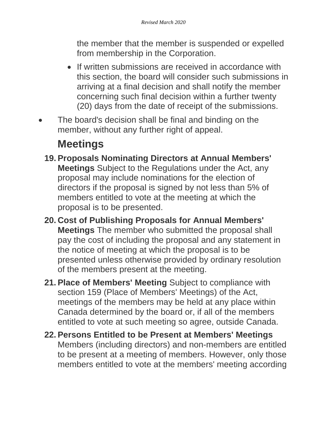the member that the member is suspended or expelled from membership in the Corporation.

- If written submissions are received in accordance with this section, the board will consider such submissions in arriving at a final decision and shall notify the member concerning such final decision within a further twenty (20) days from the date of receipt of the submissions.
- The board's decision shall be final and binding on the member, without any further right of appeal.

## **Meetings**

- **19. Proposals Nominating Directors at Annual Members' Meetings** Subject to the Regulations under the Act, any proposal may include nominations for the election of directors if the proposal is signed by not less than 5% of members entitled to vote at the meeting at which the proposal is to be presented.
- **20. Cost of Publishing Proposals for Annual Members' Meetings** The member who submitted the proposal shall pay the cost of including the proposal and any statement in the notice of meeting at which the proposal is to be presented unless otherwise provided by ordinary resolution of the members present at the meeting.
- **21. Place of Members' Meeting** Subject to compliance with section 159 (Place of Members' Meetings) of the Act, meetings of the members may be held at any place within Canada determined by the board or, if all of the members entitled to vote at such meeting so agree, outside Canada.
- **22. Persons Entitled to be Present at Members' Meetings** Members (including directors) and non-members are entitled to be present at a meeting of members. However, only those members entitled to vote at the members' meeting according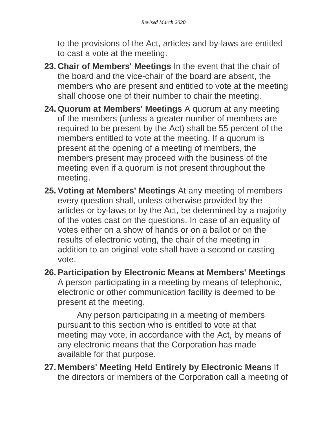to the provisions of the Act, articles and by-laws are entitled to cast a vote at the meeting.

- **23. Chair of Members' Meetings** In the event that the chair of the board and the vice-chair of the board are absent, the members who are present and entitled to vote at the meeting shall choose one of their number to chair the meeting.
- **24. Quorum at Members' Meetings** A quorum at any meeting of the members (unless a greater number of members are required to be present by the Act) shall be 55 percent of the members entitled to vote at the meeting. If a quorum is present at the opening of a meeting of members, the members present may proceed with the business of the meeting even if a quorum is not present throughout the meeting.
- **25. Voting at Members' Meetings** At any meeting of members every question shall, unless otherwise provided by the articles or by-laws or by the Act, be determined by a majority of the votes cast on the questions. In case of an equality of votes either on a show of hands or on a ballot or on the results of electronic voting, the chair of the meeting in addition to an original vote shall have a second or casting vote.
- **26. Participation by Electronic Means at Members' Meetings** A person participating in a meeting by means of telephonic, electronic or other communication facility is deemed to be present at the meeting.

Any person participating in a meeting of members pursuant to this section who is entitled to vote at that meeting may vote, in accordance with the Act, by means of any electronic means that the Corporation has made available for that purpose.

**27. Members' Meeting Held Entirely by Electronic Means** If the directors or members of the Corporation call a meeting of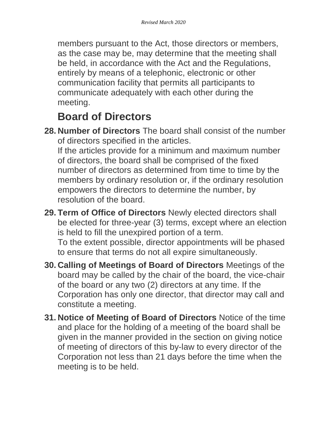members pursuant to the Act, those directors or members, as the case may be, may determine that the meeting shall be held, in accordance with the Act and the Regulations, entirely by means of a telephonic, electronic or other communication facility that permits all participants to communicate adequately with each other during the meeting.

#### **Board of Directors**

**28. Number of Directors** The board shall consist of the number of directors specified in the articles.

If the articles provide for a minimum and maximum number of directors, the board shall be comprised of the fixed number of directors as determined from time to time by the members by ordinary resolution or, if the ordinary resolution empowers the directors to determine the number, by resolution of the board.

- **29. Term of Office of Directors** Newly elected directors shall be elected for three-year (3) terms, except where an election is held to fill the unexpired portion of a term. To the extent possible, director appointments will be phased to ensure that terms do not all expire simultaneously.
- **30. Calling of Meetings of Board of Directors** Meetings of the board may be called by the chair of the board, the vice-chair of the board or any two (2) directors at any time. If the Corporation has only one director, that director may call and constitute a meeting.
- **31. Notice of Meeting of Board of Directors** Notice of the time and place for the holding of a meeting of the board shall be given in the manner provided in the section on giving notice of meeting of directors of this by-law to every director of the Corporation not less than 21 days before the time when the meeting is to be held.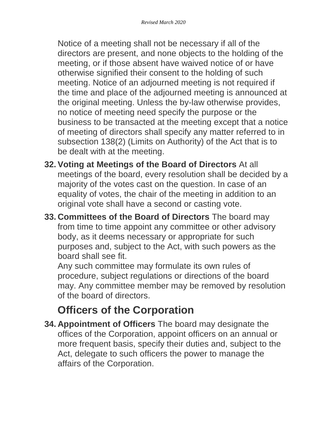Notice of a meeting shall not be necessary if all of the directors are present, and none objects to the holding of the meeting, or if those absent have waived notice of or have otherwise signified their consent to the holding of such meeting. Notice of an adjourned meeting is not required if the time and place of the adjourned meeting is announced at the original meeting. Unless the by-law otherwise provides, no notice of meeting need specify the purpose or the business to be transacted at the meeting except that a notice of meeting of directors shall specify any matter referred to in subsection 138(2) (Limits on Authority) of the Act that is to be dealt with at the meeting.

- **32. Voting at Meetings of the Board of Directors** At all meetings of the board, every resolution shall be decided by a majority of the votes cast on the question. In case of an equality of votes, the chair of the meeting in addition to an original vote shall have a second or casting vote.
- **33. Committees of the Board of Directors** The board may from time to time appoint any committee or other advisory body, as it deems necessary or appropriate for such purposes and, subject to the Act, with such powers as the board shall see fit.

Any such committee may formulate its own rules of procedure, subject regulations or directions of the board may. Any committee member may be removed by resolution of the board of directors.

# **Officers of the Corporation**

**34. Appointment of Officers** The board may designate the offices of the Corporation, appoint officers on an annual or more frequent basis, specify their duties and, subject to the Act, delegate to such officers the power to manage the affairs of the Corporation.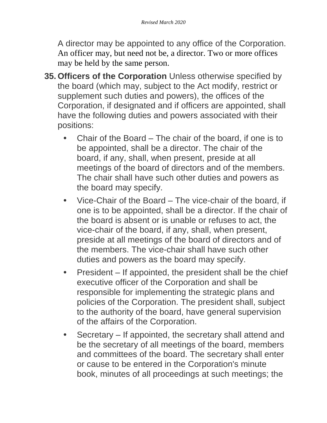A director may be appointed to any office of the Corporation. An officer may, but need not be, a director. Two or more offices may be held by the same person.

- **35. Officers of the Corporation** Unless otherwise specified by the board (which may, subject to the Act modify, restrict or supplement such duties and powers), the offices of the Corporation, if designated and if officers are appointed, shall have the following duties and powers associated with their positions:
	- **•** Chair of the Board The chair of the board, if one is to be appointed, shall be a director. The chair of the board, if any, shall, when present, preside at all meetings of the board of directors and of the members. The chair shall have such other duties and powers as the board may specify.
	- **•** Vice-Chair of the Board The vice-chair of the board, if one is to be appointed, shall be a director. If the chair of the board is absent or is unable or refuses to act, the vice-chair of the board, if any, shall, when present, preside at all meetings of the board of directors and of the members. The vice-chair shall have such other duties and powers as the board may specify.
	- **•** President If appointed, the president shall be the chief executive officer of the Corporation and shall be responsible for implementing the strategic plans and policies of the Corporation. The president shall, subject to the authority of the board, have general supervision of the affairs of the Corporation.
	- **•** Secretary If appointed, the secretary shall attend and be the secretary of all meetings of the board, members and committees of the board. The secretary shall enter or cause to be entered in the Corporation's minute book, minutes of all proceedings at such meetings; the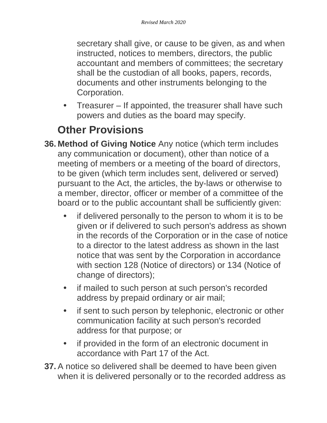secretary shall give, or cause to be given, as and when instructed, notices to members, directors, the public accountant and members of committees; the secretary shall be the custodian of all books, papers, records, documents and other instruments belonging to the Corporation.

**•** Treasurer – If appointed, the treasurer shall have such powers and duties as the board may specify.

## **Other Provisions**

- **36. Method of Giving Notice** Any notice (which term includes any communication or document), other than notice of a meeting of members or a meeting of the board of directors, to be given (which term includes sent, delivered or served) pursuant to the Act, the articles, the by-laws or otherwise to a member, director, officer or member of a committee of the board or to the public accountant shall be sufficiently given:
	- **•** if delivered personally to the person to whom it is to be given or if delivered to such person's address as shown in the records of the Corporation or in the case of notice to a director to the latest address as shown in the last notice that was sent by the Corporation in accordance with section 128 (Notice of directors) or 134 (Notice of change of directors);
	- **•** if mailed to such person at such person's recorded address by prepaid ordinary or air mail;
	- **•** if sent to such person by telephonic, electronic or other communication facility at such person's recorded address for that purpose; or
	- **•** if provided in the form of an electronic document in accordance with Part 17 of the Act.
- **37.** A notice so delivered shall be deemed to have been given when it is delivered personally or to the recorded address as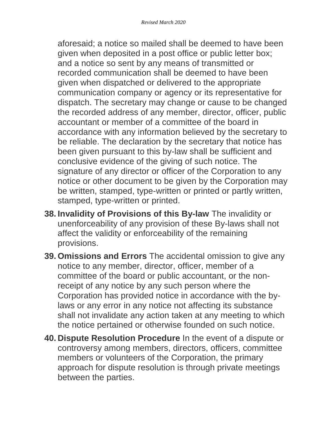aforesaid; a notice so mailed shall be deemed to have been given when deposited in a post office or public letter box; and a notice so sent by any means of transmitted or recorded communication shall be deemed to have been given when dispatched or delivered to the appropriate communication company or agency or its representative for dispatch. The secretary may change or cause to be changed the recorded address of any member, director, officer, public accountant or member of a committee of the board in accordance with any information believed by the secretary to be reliable. The declaration by the secretary that notice has been given pursuant to this by-law shall be sufficient and conclusive evidence of the giving of such notice. The signature of any director or officer of the Corporation to any notice or other document to be given by the Corporation may be written, stamped, type-written or printed or partly written, stamped, type-written or printed.

- **38. Invalidity of Provisions of this By-law** The invalidity or unenforceability of any provision of these By-laws shall not affect the validity or enforceability of the remaining provisions.
- **39. Omissions and Errors** The accidental omission to give any notice to any member, director, officer, member of a committee of the board or public accountant, or the nonreceipt of any notice by any such person where the Corporation has provided notice in accordance with the bylaws or any error in any notice not affecting its substance shall not invalidate any action taken at any meeting to which the notice pertained or otherwise founded on such notice.
- **40. Dispute Resolution Procedure** In the event of a dispute or controversy among members, directors, officers, committee members or volunteers of the Corporation, the primary approach for dispute resolution is through private meetings between the parties.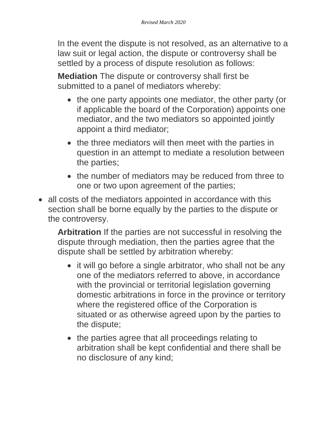In the event the dispute is not resolved, as an alternative to a law suit or legal action, the dispute or controversy shall be settled by a process of dispute resolution as follows:

**Mediation** The dispute or controversy shall first be submitted to a panel of mediators whereby:

- the one party appoints one mediator, the other party (or if applicable the board of the Corporation) appoints one mediator, and the two mediators so appointed jointly appoint a third mediator;
- the three mediators will then meet with the parties in question in an attempt to mediate a resolution between the parties;
- the number of mediators may be reduced from three to one or two upon agreement of the parties;
- all costs of the mediators appointed in accordance with this section shall be borne equally by the parties to the dispute or the controversy.

**Arbitration** If the parties are not successful in resolving the dispute through mediation, then the parties agree that the dispute shall be settled by arbitration whereby:

- it will go before a single arbitrator, who shall not be any one of the mediators referred to above, in accordance with the provincial or territorial legislation governing domestic arbitrations in force in the province or territory where the registered office of the Corporation is situated or as otherwise agreed upon by the parties to the dispute;
- the parties agree that all proceedings relating to arbitration shall be kept confidential and there shall be no disclosure of any kind;